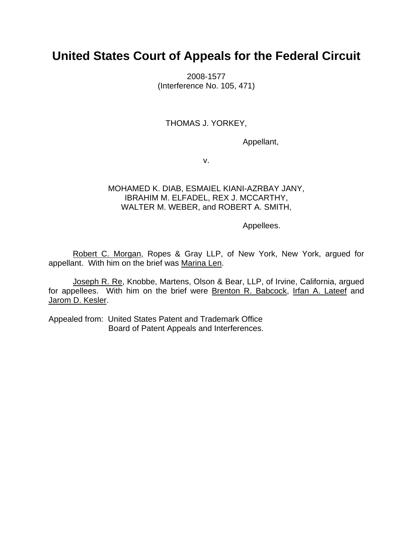# **United States Court of Appeals for the Federal Circuit**

2008-1577 (Interference No. 105, 471)

# THOMAS J. YORKEY,

Appellant,

v.

## MOHAMED K. DIAB, ESMAIEL KIANI-AZRBAY JANY, IBRAHIM M. ELFADEL, REX J. MCCARTHY, WALTER M. WEBER, and ROBERT A. SMITH,

Appellees.

Robert C. Morgan, Ropes & Gray LLP, of New York, New York, argued for appellant. With him on the brief was Marina Len.

Joseph R. Re, Knobbe, Martens, Olson & Bear, LLP, of Irvine, California, argued for appellees. With him on the brief were Brenton R. Babcock, Irfan A. Lateef and Jarom D. Kesler.

Appealed from: United States Patent and Trademark Office Board of Patent Appeals and Interferences.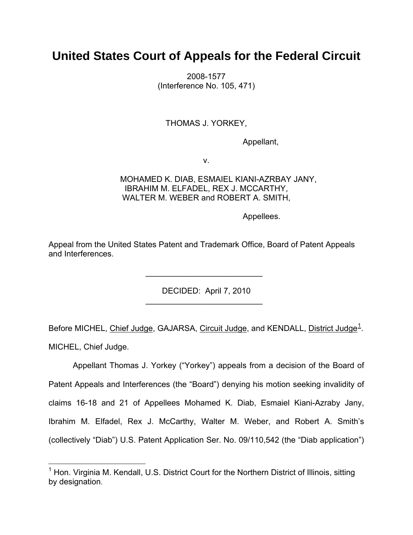# **United States Court of Appeals for the Federal Circuit**

2008-1577 (Interference No. 105, 471)

## THOMAS J. YORKEY,

Appellant,

v.

 MOHAMED K. DIAB, ESMAIEL KIANI-AZRBAY JANY, IBRAHIM M. ELFADEL, REX J. MCCARTHY, WALTER M. WEBER and ROBERT A. SMITH,

Appellees.

Appeal from the United States Patent and Trademark Office, Board of Patent Appeals and Interferences.

 $\mathcal{L}_\text{max}$  , which is a set of the set of the set of the set of the set of the set of the set of the set of the set of the set of the set of the set of the set of the set of the set of the set of the set of the set of

 $\mathcal{L}_\text{max} = \frac{1}{2} \sum_{i=1}^n \frac{1}{2} \sum_{i=1}^n \frac{1}{2} \sum_{i=1}^n \frac{1}{2} \sum_{i=1}^n \frac{1}{2} \sum_{i=1}^n \frac{1}{2} \sum_{i=1}^n \frac{1}{2} \sum_{i=1}^n \frac{1}{2} \sum_{i=1}^n \frac{1}{2} \sum_{i=1}^n \frac{1}{2} \sum_{i=1}^n \frac{1}{2} \sum_{i=1}^n \frac{1}{2} \sum_{i=1}^n \frac{1}{2} \sum_{i=1}^n$ 

1

DECIDED: April 7, 2010

Before MICHEL, Chief Judge, GAJARSA, Circuit Judge, and KENDALL, District Judge<sup>[1](#page-1-0)</sup>. MICHEL, Chief Judge.

Appellant Thomas J. Yorkey ("Yorkey") appeals from a decision of the Board of Patent Appeals and Interferences (the "Board") denying his motion seeking invalidity of claims 16-18 and 21 of Appellees Mohamed K. Diab, Esmaiel Kiani-Azraby Jany, Ibrahim M. Elfadel, Rex J. McCarthy, Walter M. Weber, and Robert A. Smith's (collectively "Diab") U.S. Patent Application Ser. No. 09/110,542 (the "Diab application")

<span id="page-1-0"></span><sup>&</sup>lt;sup>1</sup> Hon. Virginia M. Kendall, U.S. District Court for the Northern District of Illinois, sitting by designation.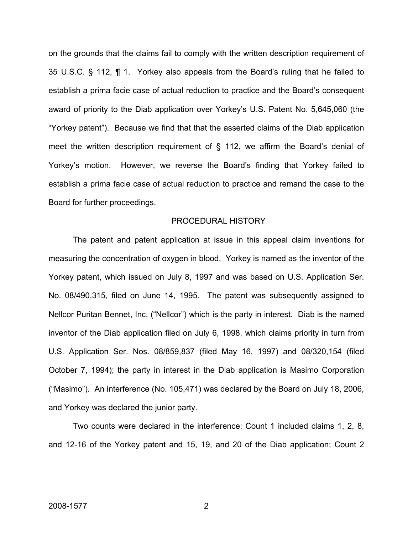on the grounds that the claims fail to comply with the written description requirement of 35 U.S.C. § 112, ¶ 1. Yorkey also appeals from the Board's ruling that he failed to establish a prima facie case of actual reduction to practice and the Board's consequent award of priority to the Diab application over Yorkey's U.S. Patent No. 5,645,060 (the "Yorkey patent"). Because we find that that the asserted claims of the Diab application meet the written description requirement of § 112, we affirm the Board's denial of Yorkey's motion. However, we reverse the Board's finding that Yorkey failed to establish a prima facie case of actual reduction to practice and remand the case to the Board for further proceedings.

#### PROCEDURAL HISTORY

The patent and patent application at issue in this appeal claim inventions for measuring the concentration of oxygen in blood. Yorkey is named as the inventor of the Yorkey patent, which issued on July 8, 1997 and was based on U.S. Application Ser. No. 08/490,315, filed on June 14, 1995. The patent was subsequently assigned to Nellcor Puritan Bennet, Inc. ("Nellcor") which is the party in interest. Diab is the named inventor of the Diab application filed on July 6, 1998, which claims priority in turn from U.S. Application Ser. Nos. 08/859,837 (filed May 16, 1997) and 08/320,154 (filed October 7, 1994); the party in interest in the Diab application is Masimo Corporation ("Masimo"). An interference (No. 105,471) was declared by the Board on July 18, 2006, and Yorkey was declared the junior party.

Two counts were declared in the interference: Count 1 included claims 1, 2, 8, and 12-16 of the Yorkey patent and 15, 19, and 20 of the Diab application; Count 2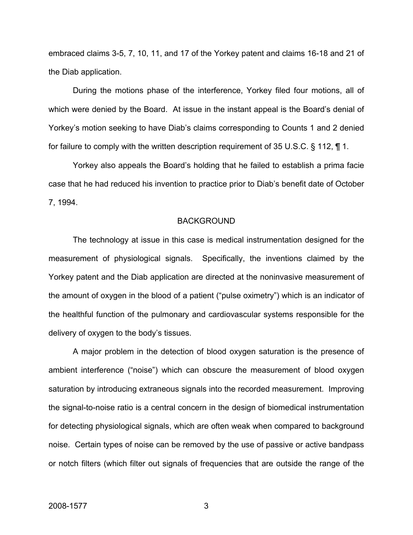embraced claims 3-5, 7, 10, 11, and 17 of the Yorkey patent and claims 16-18 and 21 of the Diab application.

During the motions phase of the interference, Yorkey filed four motions, all of which were denied by the Board. At issue in the instant appeal is the Board's denial of Yorkey's motion seeking to have Diab's claims corresponding to Counts 1 and 2 denied for failure to comply with the written description requirement of 35 U.S.C. § 112, ¶ 1.

Yorkey also appeals the Board's holding that he failed to establish a prima facie case that he had reduced his invention to practice prior to Diab's benefit date of October 7, 1994.

### BACKGROUND

The technology at issue in this case is medical instrumentation designed for the measurement of physiological signals. Specifically, the inventions claimed by the Yorkey patent and the Diab application are directed at the noninvasive measurement of the amount of oxygen in the blood of a patient ("pulse oximetry") which is an indicator of the healthful function of the pulmonary and cardiovascular systems responsible for the delivery of oxygen to the body's tissues.

A major problem in the detection of blood oxygen saturation is the presence of ambient interference ("noise") which can obscure the measurement of blood oxygen saturation by introducing extraneous signals into the recorded measurement. Improving the signal-to-noise ratio is a central concern in the design of biomedical instrumentation for detecting physiological signals, which are often weak when compared to background noise. Certain types of noise can be removed by the use of passive or active bandpass or notch filters (which filter out signals of frequencies that are outside the range of the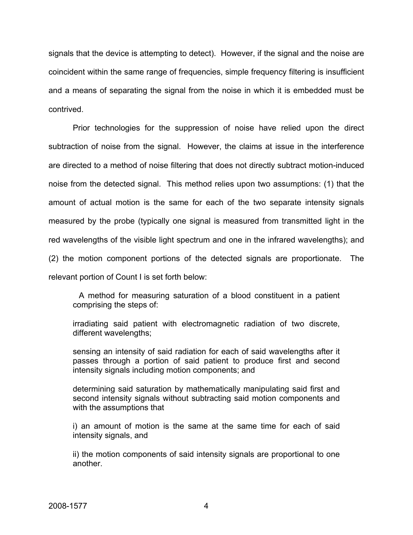signals that the device is attempting to detect). However, if the signal and the noise are coincident within the same range of frequencies, simple frequency filtering is insufficient and a means of separating the signal from the noise in which it is embedded must be contrived.

Prior technologies for the suppression of noise have relied upon the direct subtraction of noise from the signal. However, the claims at issue in the interference are directed to a method of noise filtering that does not directly subtract motion-induced noise from the detected signal. This method relies upon two assumptions: (1) that the amount of actual motion is the same for each of the two separate intensity signals measured by the probe (typically one signal is measured from transmitted light in the red wavelengths of the visible light spectrum and one in the infrared wavelengths); and (2) the motion component portions of the detected signals are proportionate. The relevant portion of Count I is set forth below:

A method for measuring saturation of a blood constituent in a patient comprising the steps of:

irradiating said patient with electromagnetic radiation of two discrete, different wavelengths;

sensing an intensity of said radiation for each of said wavelengths after it passes through a portion of said patient to produce first and second intensity signals including motion components; and

determining said saturation by mathematically manipulating said first and second intensity signals without subtracting said motion components and with the assumptions that

i) an amount of motion is the same at the same time for each of said intensity signals, and

ii) the motion components of said intensity signals are proportional to one another.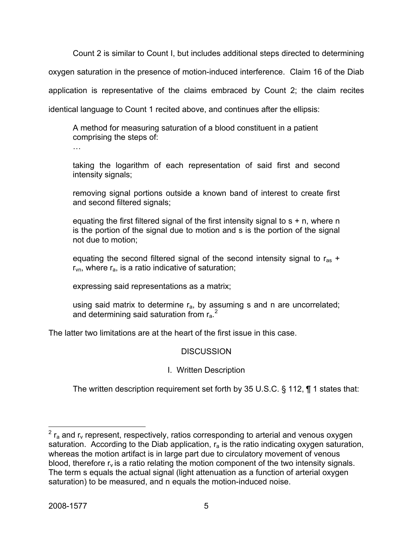Count 2 is similar to Count I, but includes additional steps directed to determining oxygen saturation in the presence of motion-induced interference. Claim 16 of the Diab application is representative of the claims embraced by Count 2; the claim recites identical language to Count 1 recited above, and continues after the ellipsis:

A method for measuring saturation of a blood constituent in a patient comprising the steps of:

…

taking the logarithm of each representation of said first and second intensity signals;

removing signal portions outside a known band of interest to create first and second filtered signals;

equating the first filtered signal of the first intensity signal to  $s + n$ , where n is the portion of the signal due to motion and s is the portion of the signal not due to motion;

equating the second filtered signal of the second intensity signal to  $r_{as}$  +  $r_{vn}$ , where  $r_a$ , is a ratio indicative of saturation;

expressing said representations as a matrix;

using said matrix to determine  $r_a$ , by assuming s and n are uncorrelated; and determining said saturation from  $r_a$ .<sup>[2](#page-5-0)</sup>

The latter two limitations are at the heart of the first issue in this case.

# **DISCUSSION**

# I. Written Description

The written description requirement set forth by 35 U.S.C. § 112, ¶ 1 states that:

<span id="page-5-0"></span> $\frac{1}{2}$  r<sub>a</sub> and r<sub>v</sub> represent, respectively, ratios corresponding to arterial and venous oxygen saturation. According to the Diab application,  $r_a$  is the ratio indicating oxygen saturation, whereas the motion artifact is in large part due to circulatory movement of venous blood, therefore  $r_v$  is a ratio relating the motion component of the two intensity signals. The term s equals the actual signal (light attenuation as a function of arterial oxygen saturation) to be measured, and n equals the motion-induced noise.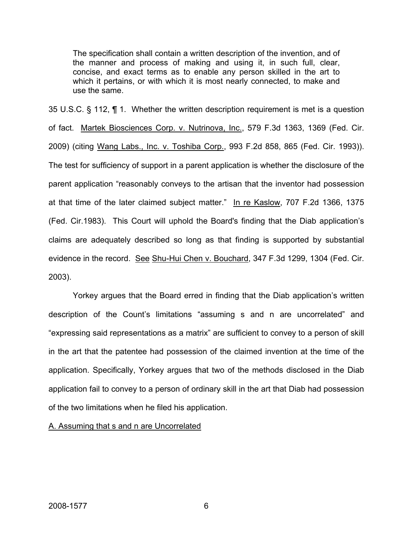The specification shall contain a written description of the invention, and of the manner and process of making and using it, in such full, clear, concise, and exact terms as to enable any person skilled in the art to which it pertains, or with which it is most nearly connected, to make and use the same.

35 U.S.C. § 112, ¶ 1. Whether the written description requirement is met is a question of fact. Martek Biosciences Corp. v. Nutrinova, Inc., 579 F.3d 1363, 1369 (Fed. Cir. 2009) (citing Wang Labs., Inc. v. Toshiba Corp., 993 F.2d 858, 865 (Fed. Cir. 1993)). The test for sufficiency of support in a parent application is whether the disclosure of the parent application "reasonably conveys to the artisan that the inventor had possession at that time of the later claimed subject matter." In re Kaslow, 707 F.2d 1366, 1375 (Fed. Cir.1983). This Court will uphold the Board's finding that the Diab application's claims are adequately described so long as that finding is supported by substantial evidence in the record. See Shu-Hui Chen v. Bouchard, 347 F.3d 1299, 1304 (Fed. Cir. 2003).

Yorkey argues that the Board erred in finding that the Diab application's written description of the Count's limitations "assuming s and n are uncorrelated" and "expressing said representations as a matrix" are sufficient to convey to a person of skill in the art that the patentee had possession of the claimed invention at the time of the application. Specifically, Yorkey argues that two of the methods disclosed in the Diab application fail to convey to a person of ordinary skill in the art that Diab had possession of the two limitations when he filed his application.

A. Assuming that s and n are Uncorrelated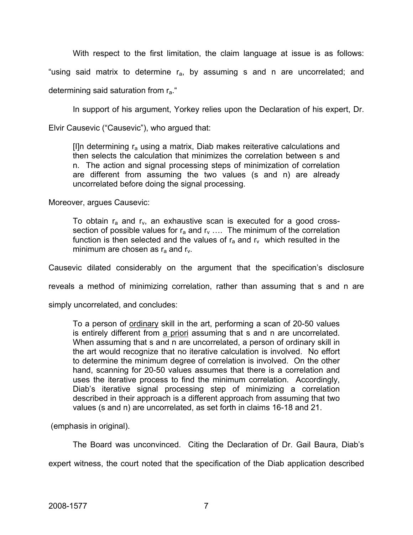With respect to the first limitation, the claim language at issue is as follows:

"using said matrix to determine  $r_a$ , by assuming s and n are uncorrelated; and

determining said saturation from ra."

In support of his argument, Yorkey relies upon the Declaration of his expert, Dr.

Elvir Causevic ("Causevic"), who argued that:

[I]n determining  $r_a$  using a matrix, Diab makes reiterative calculations and then selects the calculation that minimizes the correlation between s and n. The action and signal processing steps of minimization of correlation are different from assuming the two values (s and n) are already uncorrelated before doing the signal processing.

Moreover, argues Causevic:

To obtain  $r_a$  and  $r_v$ , an exhaustive scan is executed for a good crosssection of possible values for  $r_a$  and  $r_v$  .... The minimum of the correlation function is then selected and the values of  $r_a$  and  $r_v$  which resulted in the minimum are chosen as  $r_a$  and  $r_v$ .

Causevic dilated considerably on the argument that the specification's disclosure

reveals a method of minimizing correlation, rather than assuming that s and n are

simply uncorrelated, and concludes:

To a person of ordinary skill in the art, performing a scan of 20-50 values is entirely different from a priori assuming that s and n are uncorrelated. When assuming that s and n are uncorrelated, a person of ordinary skill in the art would recognize that no iterative calculation is involved. No effort to determine the minimum degree of correlation is involved. On the other hand, scanning for 20-50 values assumes that there is a correlation and uses the iterative process to find the minimum correlation. Accordingly, Diab's iterative signal processing step of minimizing a correlation described in their approach is a different approach from assuming that two values (s and n) are uncorrelated, as set forth in claims 16-18 and 21.

(emphasis in original).

The Board was unconvinced. Citing the Declaration of Dr. Gail Baura, Diab's expert witness, the court noted that the specification of the Diab application described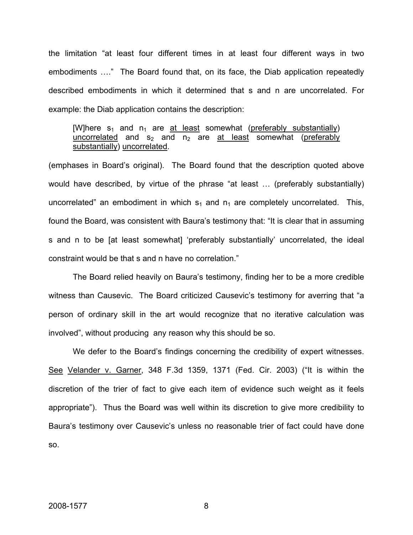the limitation "at least four different times in at least four different ways in two embodiments …." The Board found that, on its face, the Diab application repeatedly described embodiments in which it determined that s and n are uncorrelated. For example: the Diab application contains the description:

## [W]here  $s_1$  and  $n_1$  are at least somewhat (preferably substantially) uncorrelated and  $s_2$  and  $n_2$  are at least somewhat (preferably substantially) uncorrelated.

(emphases in Board's original). The Board found that the description quoted above would have described, by virtue of the phrase "at least … (preferably substantially) uncorrelated" an embodiment in which  $s_1$  and  $n_1$  are completely uncorrelated. This, found the Board, was consistent with Baura's testimony that: "It is clear that in assuming s and n to be [at least somewhat] 'preferably substantially' uncorrelated, the ideal constraint would be that s and n have no correlation."

The Board relied heavily on Baura's testimony, finding her to be a more credible witness than Causevic. The Board criticized Causevic's testimony for averring that "a person of ordinary skill in the art would recognize that no iterative calculation was involved", without producing any reason why this should be so.

We defer to the Board's findings concerning the credibility of expert witnesses. See Velander v. Garner, 348 F.3d 1359, 1371 (Fed. Cir. 2003) ("It is within the discretion of the trier of fact to give each item of evidence such weight as it feels appropriate"). Thus the Board was well within its discretion to give more credibility to Baura's testimony over Causevic's unless no reasonable trier of fact could have done so.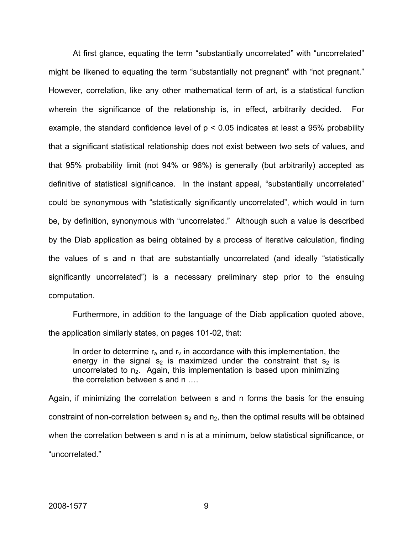At first glance, equating the term "substantially uncorrelated" with "uncorrelated" might be likened to equating the term "substantially not pregnant" with "not pregnant." However, correlation, like any other mathematical term of art, is a statistical function wherein the significance of the relationship is, in effect, arbitrarily decided. For example, the standard confidence level of  $p < 0.05$  indicates at least a 95% probability that a significant statistical relationship does not exist between two sets of values, and that 95% probability limit (not 94% or 96%) is generally (but arbitrarily) accepted as definitive of statistical significance. In the instant appeal, "substantially uncorrelated" could be synonymous with "statistically significantly uncorrelated", which would in turn be, by definition, synonymous with "uncorrelated." Although such a value is described by the Diab application as being obtained by a process of iterative calculation, finding the values of s and n that are substantially uncorrelated (and ideally "statistically significantly uncorrelated") is a necessary preliminary step prior to the ensuing computation.

Furthermore, in addition to the language of the Diab application quoted above, the application similarly states, on pages 101-02, that:

In order to determine  $r_a$  and  $r_v$  in accordance with this implementation, the energy in the signal s<sub>2</sub> is maximized under the constraint that s<sub>2</sub> is uncorrelated to  $n_2$ . Again, this implementation is based upon minimizing the correlation between s and n ….

Again, if minimizing the correlation between s and n forms the basis for the ensuing constraint of non-correlation between  $s_2$  and  $n_2$ , then the optimal results will be obtained when the correlation between s and n is at a minimum, below statistical significance, or "uncorrelated."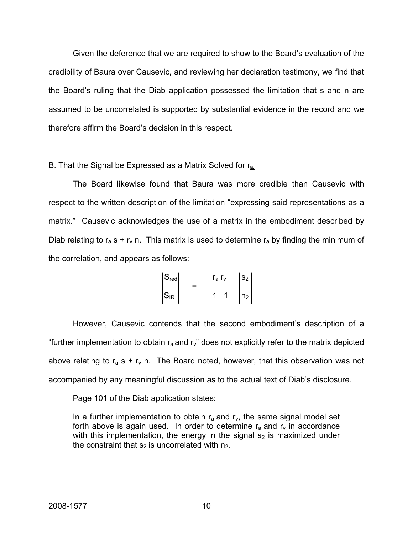Given the deference that we are required to show to the Board's evaluation of the credibility of Baura over Causevic, and reviewing her declaration testimony, we find that the Board's ruling that the Diab application possessed the limitation that s and n are assumed to be uncorrelated is supported by substantial evidence in the record and we therefore affirm the Board's decision in this respect.

### B. That the Signal be Expressed as a Matrix Solved for r<sub>a</sub>.

The Board likewise found that Baura was more credible than Causevic with respect to the written description of the limitation "expressing said representations as a matrix." Causevic acknowledges the use of a matrix in the embodiment described by Diab relating to  $r_a$  s +  $r_v$  n. This matrix is used to determine  $r_a$  by finding the minimum of the correlation, and appears as follows:

$$
\begin{vmatrix} S_{\text{red}} \\ S_{\text{IR}} \end{vmatrix} = \begin{vmatrix} r_a r_v \\ 1 & 1 \end{vmatrix} \begin{vmatrix} s_2 \\ n_2 \end{vmatrix}
$$

 However, Causevic contends that the second embodiment's description of a "further implementation to obtain  $r_a$  and  $r_v$ " does not explicitly refer to the matrix depicted above relating to  $r_a$  s +  $r_v$  n. The Board noted, however, that this observation was not accompanied by any meaningful discussion as to the actual text of Diab's disclosure.

Page 101 of the Diab application states:

In a further implementation to obtain  $r_a$  and  $r_v$ , the same signal model set forth above is again used. In order to determine  $r_a$  and  $r_v$  in accordance with this implementation, the energy in the signal  $s<sub>2</sub>$  is maximized under the constraint that  $s_2$  is uncorrelated with  $n_2$ .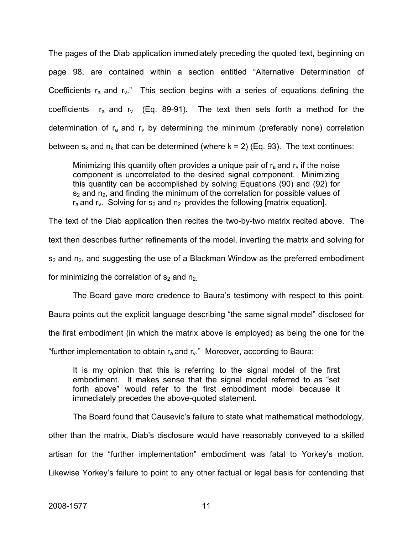The pages of the Diab application immediately preceding the quoted text, beginning on page 98, are contained within a section entitled "Alternative Determination of Coefficients  $r_a$  and  $r_v$ ." This section begins with a series of equations defining the coefficients  $r_a$  and  $r_v$  (Eq. 89-91). The text then sets forth a method for the determination of  $r_a$  and  $r_v$  by determining the minimum (preferably none) correlation between  $s_k$  and  $n_k$  that can be determined (where  $k = 2$ ) (Eq. 93). The text continues:

Minimizing this quantity often provides a unique pair of  $r_a$  and  $r_v$  if the noise component is uncorrelated to the desired signal component. Minimizing this quantity can be accomplished by solving Equations (90) and (92) for  $s_2$  and  $n_2$ , and finding the minimum of the correlation for possible values of  $r_a$  and  $r_v$ . Solving for s<sub>2</sub> and n<sub>2</sub> provides the following [matrix equation].

The text of the Diab application then recites the two-by-two matrix recited above. The text then describes further refinements of the model, inverting the matrix and solving for  $s_2$  and  $n_2$ , and suggesting the use of a Blackman Window as the preferred embodiment for minimizing the correlation of  $s_2$  and  $n_2$ .

The Board gave more credence to Baura's testimony with respect to this point. Baura points out the explicit language describing "the same signal model" disclosed for the first embodiment (in which the matrix above is employed) as being the one for the "further implementation to obtain  $r_a$  and  $r_v$ ." Moreover, according to Baura:

It is my opinion that this is referring to the signal model of the first embodiment. It makes sense that the signal model referred to as "set forth above" would refer to the first embodiment model because it immediately precedes the above-quoted statement.

The Board found that Causevic's failure to state what mathematical methodology, other than the matrix, Diab's disclosure would have reasonably conveyed to a skilled artisan for the "further implementation" embodiment was fatal to Yorkey's motion. Likewise Yorkey's failure to point to any other factual or legal basis for contending that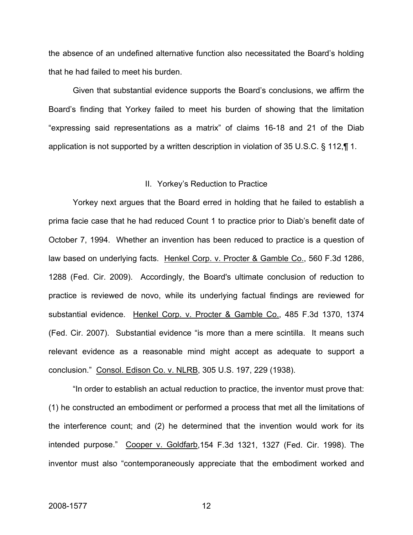the absence of an undefined alternative function also necessitated the Board's holding that he had failed to meet his burden.

Given that substantial evidence supports the Board's conclusions, we affirm the Board's finding that Yorkey failed to meet his burden of showing that the limitation "expressing said representations as a matrix" of claims 16-18 and 21 of the Diab application is not supported by a written description in violation of 35 U.S.C. § 112,¶ 1.

#### II. Yorkey's Reduction to Practice

Yorkey next argues that the Board erred in holding that he failed to establish a prima facie case that he had reduced Count 1 to practice prior to Diab's benefit date of October 7, 1994. Whether an invention has been reduced to practice is a question of law based on underlying facts. Henkel Corp. v. Procter & Gamble Co., 560 F.3d 1286, 1288 (Fed. Cir. 2009). Accordingly, the Board's ultimate conclusion of reduction to practice is reviewed de novo, while its underlying factual findings are reviewed for substantial evidence. Henkel Corp. v. Procter & Gamble Co., 485 F.3d 1370, 1374 (Fed. Cir. 2007). Substantial evidence "is more than a mere scintilla. It means such relevant evidence as a reasonable mind might accept as adequate to support a conclusion." Consol. Edison Co. v. NLRB, 305 U.S. 197, 229 (1938).

"In order to establish an actual reduction to practice, the inventor must prove that: (1) he constructed an embodiment or performed a process that met all the limitations of the interference count; and (2) he determined that the invention would work for its intended purpose." Cooper v. Goldfarb,154 F.3d 1321, 1327 (Fed. Cir. 1998). The inventor must also "contemporaneously appreciate that the embodiment worked and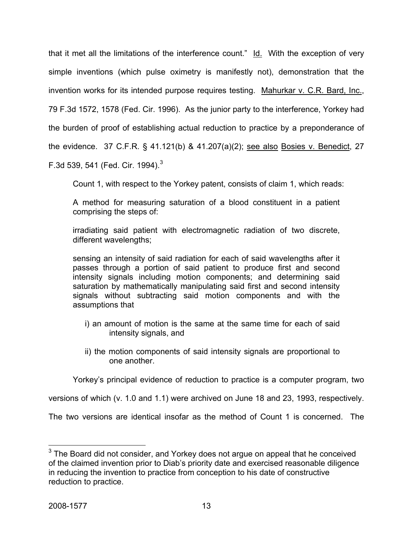that it met all the limitations of the interference count." Id. With the exception of very simple inventions (which pulse oximetry is manifestly not), demonstration that the invention works for its intended purpose requires testing. Mahurkar v. C.R. Bard, Inc., 79 F.3d 1572, 1578 (Fed. Cir. 1996). As the junior party to the interference, Yorkey had the burden of proof of establishing actual reduction to practice by a preponderance of the evidence. 37 C.F.R. § 41.121(b) & 41.207(a)(2); see also Bosies v. Benedict, 27 F.[3](#page-13-0)d 539, 541 (Fed. Cir. 1994). $^3$ 

Count 1, with respect to the Yorkey patent, consists of claim 1, which reads:

A method for measuring saturation of a blood constituent in a patient comprising the steps of:

irradiating said patient with electromagnetic radiation of two discrete, different wavelengths;

sensing an intensity of said radiation for each of said wavelengths after it passes through a portion of said patient to produce first and second intensity signals including motion components; and determining said saturation by mathematically manipulating said first and second intensity signals without subtracting said motion components and with the assumptions that

- i) an amount of motion is the same at the same time for each of said intensity signals, and
- ii) the motion components of said intensity signals are proportional to one another.

Yorkey's principal evidence of reduction to practice is a computer program, two

versions of which (v. 1.0 and 1.1) were archived on June 18 and 23, 1993, respectively.

The two versions are identical insofar as the method of Count 1 is concerned. The

<span id="page-13-0"></span> 3 The Board did not consider, and Yorkey does not argue on appeal that he conceived of the claimed invention prior to Diab's priority date and exercised reasonable diligence in reducing the invention to practice from conception to his date of constructive reduction to practice.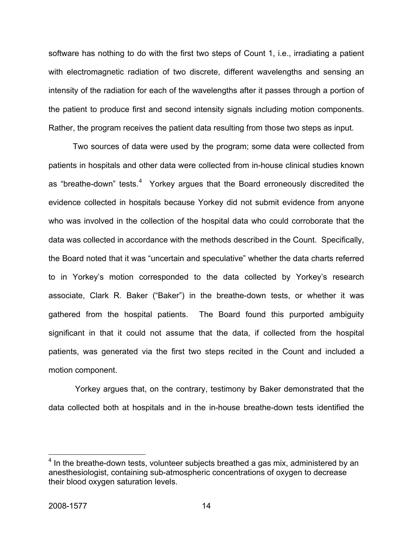software has nothing to do with the first two steps of Count 1, i.e., irradiating a patient with electromagnetic radiation of two discrete, different wavelengths and sensing an intensity of the radiation for each of the wavelengths after it passes through a portion of the patient to produce first and second intensity signals including motion components. Rather, the program receives the patient data resulting from those two steps as input.

Two sources of data were used by the program; some data were collected from patients in hospitals and other data were collected from in-house clinical studies known as "breathe-down" tests.<sup>[4](#page-14-0)</sup> Yorkey argues that the Board erroneously discredited the evidence collected in hospitals because Yorkey did not submit evidence from anyone who was involved in the collection of the hospital data who could corroborate that the data was collected in accordance with the methods described in the Count. Specifically, the Board noted that it was "uncertain and speculative" whether the data charts referred to in Yorkey's motion corresponded to the data collected by Yorkey's research associate, Clark R. Baker ("Baker") in the breathe-down tests, or whether it was gathered from the hospital patients. The Board found this purported ambiguity significant in that it could not assume that the data, if collected from the hospital patients, was generated via the first two steps recited in the Count and included a motion component.

 Yorkey argues that, on the contrary, testimony by Baker demonstrated that the data collected both at hospitals and in the in-house breathe-down tests identified the

<span id="page-14-0"></span> 4 In the breathe-down tests, volunteer subjects breathed a gas mix, administered by an anesthesiologist, containing sub-atmospheric concentrations of oxygen to decrease their blood oxygen saturation levels.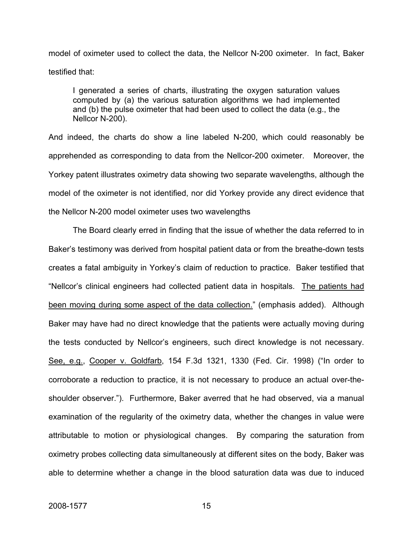model of oximeter used to collect the data, the Nellcor N-200 oximeter. In fact, Baker testified that:

I generated a series of charts, illustrating the oxygen saturation values computed by (a) the various saturation algorithms we had implemented and (b) the pulse oximeter that had been used to collect the data (e.g., the Nellcor N-200).

And indeed, the charts do show a line labeled N-200, which could reasonably be apprehended as corresponding to data from the Nellcor-200 oximeter. Moreover, the Yorkey patent illustrates oximetry data showing two separate wavelengths, although the model of the oximeter is not identified, nor did Yorkey provide any direct evidence that the Nellcor N-200 model oximeter uses two wavelengths

 The Board clearly erred in finding that the issue of whether the data referred to in Baker's testimony was derived from hospital patient data or from the breathe-down tests creates a fatal ambiguity in Yorkey's claim of reduction to practice. Baker testified that "Nellcor's clinical engineers had collected patient data in hospitals. The patients had been moving during some aspect of the data collection." (emphasis added). Although Baker may have had no direct knowledge that the patients were actually moving during the tests conducted by Nellcor's engineers, such direct knowledge is not necessary. See, e.g., Cooper v. Goldfarb, 154 F.3d 1321, 1330 (Fed. Cir. 1998) ("In order to corroborate a reduction to practice, it is not necessary to produce an actual over-theshoulder observer."). Furthermore, Baker averred that he had observed, via a manual examination of the regularity of the oximetry data, whether the changes in value were attributable to motion or physiological changes. By comparing the saturation from oximetry probes collecting data simultaneously at different sites on the body, Baker was able to determine whether a change in the blood saturation data was due to induced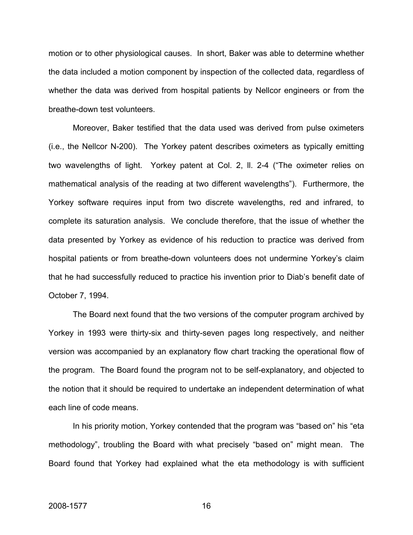motion or to other physiological causes. In short, Baker was able to determine whether the data included a motion component by inspection of the collected data, regardless of whether the data was derived from hospital patients by Nellcor engineers or from the breathe-down test volunteers.

 Moreover, Baker testified that the data used was derived from pulse oximeters (i.e., the Nellcor N-200). The Yorkey patent describes oximeters as typically emitting two wavelengths of light. Yorkey patent at Col. 2, ll. 2-4 ("The oximeter relies on mathematical analysis of the reading at two different wavelengths"). Furthermore, the Yorkey software requires input from two discrete wavelengths, red and infrared, to complete its saturation analysis. We conclude therefore, that the issue of whether the data presented by Yorkey as evidence of his reduction to practice was derived from hospital patients or from breathe-down volunteers does not undermine Yorkey's claim that he had successfully reduced to practice his invention prior to Diab's benefit date of October 7, 1994.

 The Board next found that the two versions of the computer program archived by Yorkey in 1993 were thirty-six and thirty-seven pages long respectively, and neither version was accompanied by an explanatory flow chart tracking the operational flow of the program. The Board found the program not to be self-explanatory, and objected to the notion that it should be required to undertake an independent determination of what each line of code means.

 In his priority motion, Yorkey contended that the program was "based on" his "eta methodology", troubling the Board with what precisely "based on" might mean. The Board found that Yorkey had explained what the eta methodology is with sufficient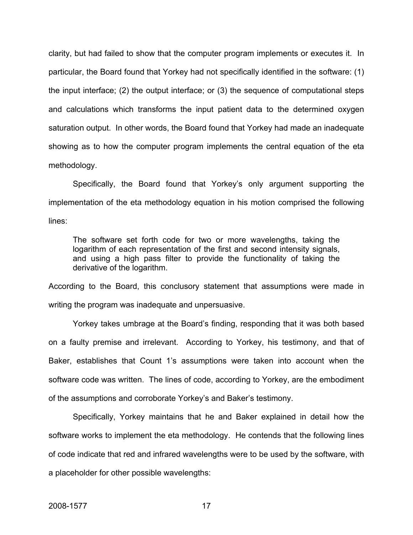clarity, but had failed to show that the computer program implements or executes it.In particular, the Board found that Yorkey had not specifically identified in the software: (1) the input interface; (2) the output interface; or (3) the sequence of computational steps and calculations which transforms the input patient data to the determined oxygen saturation output. In other words, the Board found that Yorkey had made an inadequate showing as to how the computer program implements the central equation of the eta methodology.

 Specifically, the Board found that Yorkey's only argument supporting the implementation of the eta methodology equation in his motion comprised the following lines:

The software set forth code for two or more wavelengths, taking the logarithm of each representation of the first and second intensity signals, and using a high pass filter to provide the functionality of taking the derivative of the logarithm.

According to the Board, this conclusory statement that assumptions were made in writing the program was inadequate and unpersuasive.

Yorkey takes umbrage at the Board's finding, responding that it was both based on a faulty premise and irrelevant. According to Yorkey, his testimony, and that of Baker, establishes that Count 1's assumptions were taken into account when the software code was written. The lines of code, according to Yorkey, are the embodiment of the assumptions and corroborate Yorkey's and Baker's testimony.

 Specifically, Yorkey maintains that he and Baker explained in detail how the software works to implement the eta methodology. He contends that the following lines of code indicate that red and infrared wavelengths were to be used by the software, with a placeholder for other possible wavelengths: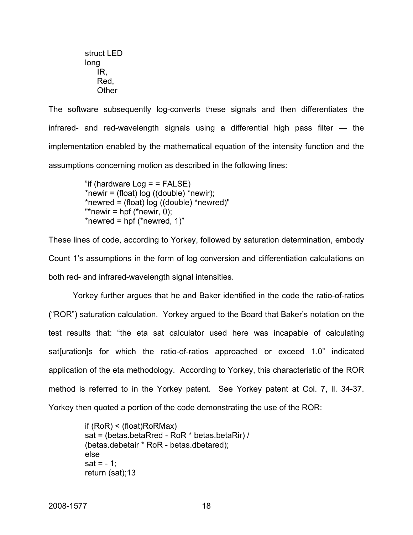struct LED long IR, Red, **Other** 

The software subsequently log-converts these signals and then differentiates the infrared- and red-wavelength signals using a differential high pass filter — the implementation enabled by the mathematical equation of the intensity function and the assumptions concerning motion as described in the following lines:

> "if (hardware  $Log = FALE$ ) \*newir = (float)  $log$  ((double) \*newir); \*newred = (float) log ((double) \*newred)" "\*newir = hpf (\*newir,  $0$ ); \*newred = hpf (\*newred,  $1$ )"

These lines of code, according to Yorkey, followed by saturation determination, embody Count 1's assumptions in the form of log conversion and differentiation calculations on both red- and infrared-wavelength signal intensities.

 Yorkey further argues that he and Baker identified in the code the ratio-of-ratios ("ROR") saturation calculation. Yorkey argued to the Board that Baker's notation on the test results that: "the eta sat calculator used here was incapable of calculating sat[uration]s for which the ratio-of-ratios approached or exceed 1.0" indicated application of the eta methodology. According to Yorkey, this characteristic of the ROR method is referred to in the Yorkey patent. See Yorkey patent at Col. 7, II. 34-37. Yorkey then quoted a portion of the code demonstrating the use of the ROR:

> if (RoR) < (float)RoRMax) sat = (betas.betaRred - RoR \* betas.betaRir) / (betas.debetair \* RoR - betas.dbetared); else  $sat = -1$ : return (sat);13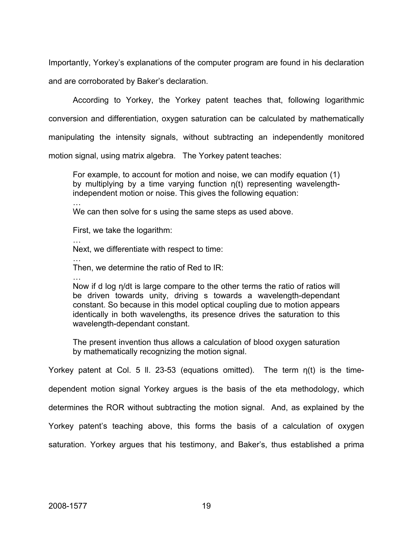Importantly, Yorkey's explanations of the computer program are found in his declaration and are corroborated by Baker's declaration.

According to Yorkey, the Yorkey patent teaches that, following logarithmic conversion and differentiation, oxygen saturation can be calculated by mathematically

manipulating the intensity signals, without subtracting an independently monitored

motion signal, using matrix algebra. The Yorkey patent teaches:

For example, to account for motion and noise, we can modify equation (1) by multiplying by a time varying function η(t) representing wavelengthindependent motion or noise. This gives the following equation:

…

We can then solve for s using the same steps as used above.

First, we take the logarithm:

…

Next, we differentiate with respect to time:

…

Then, we determine the ratio of Red to IR:

…

Now if d log η/dt is large compare to the other terms the ratio of ratios will be driven towards unity, driving s towards a wavelength-dependant constant. So because in this model optical coupling due to motion appears identically in both wavelengths, its presence drives the saturation to this wavelength-dependant constant.

The present invention thus allows a calculation of blood oxygen saturation by mathematically recognizing the motion signal.

Yorkey patent at Col. 5 ll. 23-53 (equations omitted). The term η(t) is the time-

dependent motion signal Yorkey argues is the basis of the eta methodology, which

determines the ROR without subtracting the motion signal. And, as explained by the

Yorkey patent's teaching above, this forms the basis of a calculation of oxygen

saturation. Yorkey argues that his testimony, and Baker's, thus established a prima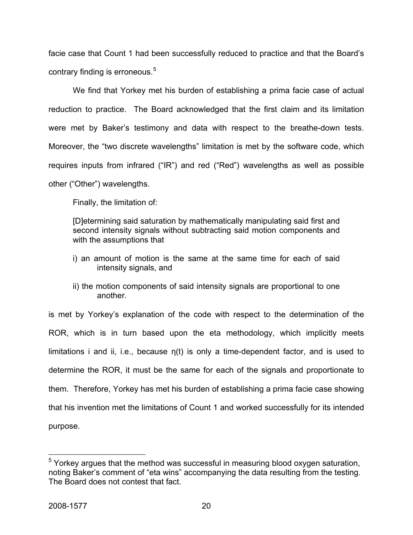facie case that Count 1 had been successfully reduced to practice and that the Board's contrary finding is erroneous.<sup>[5](#page-20-0)</sup>

 We find that Yorkey met his burden of establishing a prima facie case of actual reduction to practice. The Board acknowledged that the first claim and its limitation were met by Baker's testimony and data with respect to the breathe-down tests. Moreover, the "two discrete wavelengths" limitation is met by the software code, which requires inputs from infrared ("IR") and red ("Red") wavelengths as well as possible other ("Other") wavelengths.

Finally, the limitation of:

[D]etermining said saturation by mathematically manipulating said first and second intensity signals without subtracting said motion components and with the assumptions that

- i) an amount of motion is the same at the same time for each of said intensity signals, and
- ii) the motion components of said intensity signals are proportional to one another.

is met by Yorkey's explanation of the code with respect to the determination of the ROR, which is in turn based upon the eta methodology, which implicitly meets limitations i and ii, i.e., because  $\eta(t)$  is only a time-dependent factor, and is used to determine the ROR, it must be the same for each of the signals and proportionate to them. Therefore, Yorkey has met his burden of establishing a prima facie case showing that his invention met the limitations of Count 1 and worked successfully for its intended purpose.

1

<span id="page-20-0"></span><sup>&</sup>lt;sup>5</sup> Yorkey argues that the method was successful in measuring blood oxygen saturation, noting Baker's comment of "eta wins" accompanying the data resulting from the testing. The Board does not contest that fact.